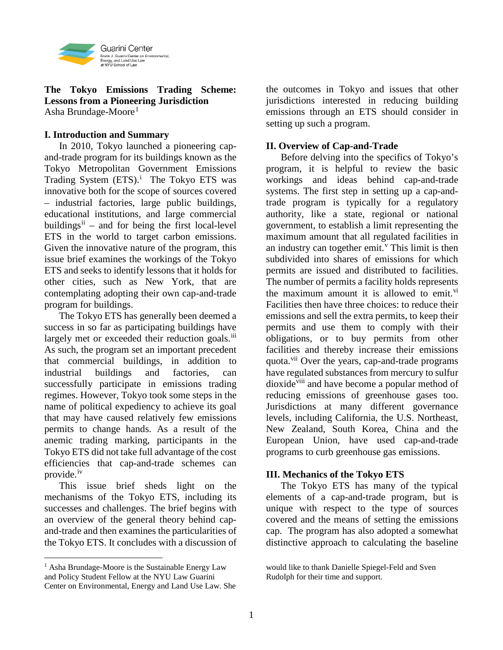

### **The Tokyo Emissions Trading Scheme: Lessons from a Pioneering Jurisdiction** Asha Brundage-Moore<sup>[1](#page-0-0)</sup>

## **I. Introduction and Summary**

In 2010, Tokyo launched a pioneering capand-trade program for its buildings known as the Tokyo Metropolitan Government Emissions Trad[i](#page-4-0)ng System (ETS).<sup>i</sup> The Tokyo ETS was innovative both for the scope of sources covered – industrial factories, large public buildings, educational institutions, and large commercial buildings<sup>[ii](#page-4-1)</sup> – and for being the first local-level ETS in the world to target carbon emissions. Given the innovative nature of the program, this issue brief examines the workings of the Tokyo ETS and seeks to identify lessons that it holds for other cities, such as New York, that are contemplating adopting their own cap-and-trade program for buildings.

The Tokyo ETS has generally been deemed a success in so far as participating buildings have largely met or exceeded their reduction goals.<sup>[iii](#page-4-2)</sup> As such, the program set an important precedent that commercial buildings, in addition to industrial buildings and factories, can successfully participate in emissions trading regimes. However, Tokyo took some steps in the name of political expediency to achieve its goal that may have caused relatively few emissions permits to change hands. As a result of the anemic trading marking, participants in the Tokyo ETS did not take full advantage of the cost efficiencies that cap-and-trade schemes can provide.<sup>[iv](#page-4-3)</sup>

This issue brief sheds light on the mechanisms of the Tokyo ETS, including its successes and challenges. The brief begins with an overview of the general theory behind capand-trade and then examines the particularities of the Tokyo ETS. It concludes with a discussion of

the outcomes in Tokyo and issues that other jurisdictions interested in reducing building emissions through an ETS should consider in setting up such a program.

## **II. Overview of Cap-and-Trade**

Before delving into the specifics of Tokyo's program, it is helpful to review the basic workings and ideas behind cap-and-trade systems. The first step in setting up a cap-andtrade program is typically for a regulatory authority, like a state, regional or national government, to establish a limit representing the maximum amount that all regulated facilities in an industry can together emit.<sup> $\theta$ </sup> This limit is then subdivided into shares of emissions for which permits are issued and distributed to facilities. The number of permits a facility holds represents the maximum amount it is allowed to emit. $\overline{v}$ Facilities then have three choices: to reduce their emissions and sell the extra permits, to keep their permits and use them to comply with their obligations, or to buy permits from other facilities and thereby increase their emissions quota.<sup>[vii](#page-4-6)</sup> Over the years, cap-and-trade programs have regulated substances from mercury to sulfur dioxide<sup>[viii](#page-4-7)</sup> and have become a popular method of reducing emissions of greenhouse gases too. Jurisdictions at many different governance levels, including California, the U.S. Northeast, New Zealand, South Korea, China and the European Union, have used cap-and-trade programs to curb greenhouse gas emissions.

### **III. Mechanics of the Tokyo ETS**

The Tokyo ETS has many of the typical elements of a cap-and-trade program, but is unique with respect to the type of sources covered and the means of setting the emissions cap. The program has also adopted a somewhat distinctive approach to calculating the baseline

<span id="page-0-0"></span> $<sup>1</sup>$  Asha Brundage-Moore is the Sustainable Energy Law</sup> and Policy Student Fellow at the NYU Law Guarini Center on Environmental, Energy and Land Use Law. She

would like to thank Danielle Spiegel-Feld and Sven Rudolph for their time and support.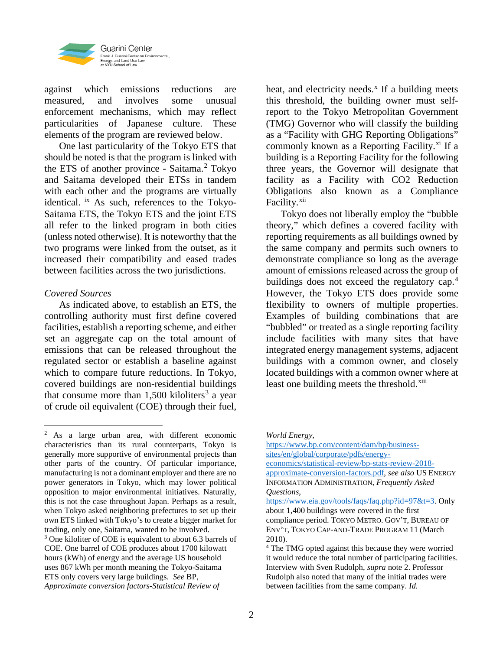

against which emissions reductions are measured, and involves some unusual enforcement mechanisms, which may reflect particularities of Japanese culture. These elements of the program are reviewed below.

One last particularity of the Tokyo ETS that should be noted is that the program is linked with the ETS of another province - Saitama.<sup>[2](#page-1-0)</sup> Tokyo and Saitama developed their ETSs in tandem with each other and the programs are virtually identical. [ix](#page-4-8) As such, references to the Tokyo-Saitama ETS, the Tokyo ETS and the joint ETS all refer to the linked program in both cities (unless noted otherwise). It is noteworthy that the two programs were linked from the outset, as it increased their compatibility and eased trades between facilities across the two jurisdictions.

#### *Covered Sources*

As indicated above, to establish an ETS, the controlling authority must first define covered facilities, establish a reporting scheme, and either set an aggregate cap on the total amount of emissions that can be released throughout the regulated sector or establish a baseline against which to compare future reductions. In Tokyo, covered buildings are non-residential buildings that consume more than  $1,500$  kiloliters<sup>[3](#page-1-1)</sup> a year of crude oil equivalent (COE) through their fuel,

heat, and electricity needs. $^x$  $^x$  If a building meets this threshold, the building owner must selfreport to the Tokyo Metropolitan Government (TMG) Governor who will classify the building as a "Facility with GHG Reporting Obligations" commonly known as a Reporting Facility. $x_i$  If a building is a Reporting Facility for the following three years, the Governor will designate that facility as a Facility with CO2 Reduction Obligations also known as a Compliance Facility.<sup>[xii](#page-4-11)</sup>

Tokyo does not liberally employ the "bubble theory," which defines a covered facility with reporting requirements as all buildings owned by the same company and permits such owners to demonstrate compliance so long as the average amount of emissions released across the group of buildings does not exceed the regulatory cap.<sup>[4](#page-1-2)</sup> However, the Tokyo ETS does provide some flexibility to owners of multiple properties. Examples of building combinations that are "bubbled" or treated as a single reporting facility include facilities with many sites that have integrated energy management systems, adjacent buildings with a common owner, and closely located buildings with a common owner where at least one building meets the threshold.<sup>[xiii](#page-4-12)</sup>

<span id="page-1-0"></span> <sup>2</sup> As a large urban area, with different economic characteristics than its rural counterparts, Tokyo is generally more supportive of environmental projects than other parts of the country. Of particular importance, manufacturing is not a dominant employer and there are no power generators in Tokyo, which may lower political opposition to major environmental initiatives. Naturally, this is not the case throughout Japan. Perhaps as a result, when Tokyo asked neighboring prefectures to set up their own ETS linked with Tokyo's to create a bigger market for trading, only one, Saitama, wanted to be involved.

<span id="page-1-2"></span><span id="page-1-1"></span><sup>&</sup>lt;sup>3</sup> One kiloliter of COE is equivalent to about 6.3 barrels of COE. One barrel of COE produces about 1700 kilowatt hours (kWh) of energy and the average US household uses 867 kWh per month meaning the Tokyo-Saitama ETS only covers very large buildings. *See* BP, *Approximate conversion factors-Statistical Review of* 

*World Energy*,

[https://www.bp.com/content/dam/bp/business](https://www.bp.com/content/dam/bp/business-sites/en/global/corporate/pdfs/energy-economics/statistical-review/bp-stats-review-2018-approximate-conversion-factors.pdf)[sites/en/global/corporate/pdfs/energy](https://www.bp.com/content/dam/bp/business-sites/en/global/corporate/pdfs/energy-economics/statistical-review/bp-stats-review-2018-approximate-conversion-factors.pdf)[economics/statistical-review/bp-stats-review-2018](https://www.bp.com/content/dam/bp/business-sites/en/global/corporate/pdfs/energy-economics/statistical-review/bp-stats-review-2018-approximate-conversion-factors.pdf) [approximate-conversion-factors.pdf,](https://www.bp.com/content/dam/bp/business-sites/en/global/corporate/pdfs/energy-economics/statistical-review/bp-stats-review-2018-approximate-conversion-factors.pdf) *see also* US ENERGY INFORMATION ADMINISTRATION, *Frequently Asked Questions*,

[https://www.eia.gov/tools/faqs/faq.php?id=97&t=3.](https://www.eia.gov/tools/faqs/faq.php?id=97&t=3) Only about 1,400 buildings were covered in the first compliance period. TOKYO METRO. GOV'T, BUREAU OF ENV'T, TOKYO CAP-AND-TRADE PROGRAM 11 (March 2010).

<sup>&</sup>lt;sup>4</sup> The TMG opted against this because they were worried it would reduce the total number of participating facilities. Interview with Sven Rudolph, *supra* note 2. Professor Rudolph also noted that many of the initial trades were between facilities from the same company. *Id.*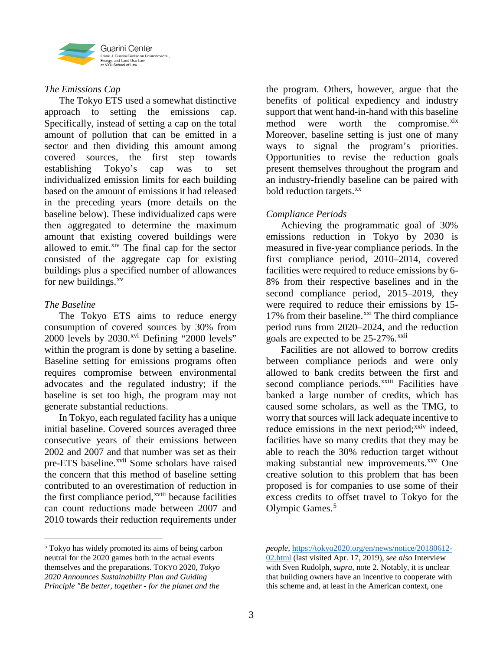

### *The Emissions Cap*

The Tokyo ETS used a somewhat distinctive approach to setting the emissions cap. Specifically, instead of setting a cap on the total amount of pollution that can be emitted in a sector and then dividing this amount among covered sources, the first step towards establishing Tokyo's cap was to set individualized emission limits for each building based on the amount of emissions it had released in the preceding years (more details on the baseline below). These individualized caps were then aggregated to determine the maximum amount that existing covered buildings were allowed to emit. $\frac{X}{Y}$  The final cap for the sector consisted of the aggregate cap for existing buildings plus a specified number of allowances for new buildings. $x<sup>v</sup>$ 

#### *The Baseline*

The Tokyo ETS aims to reduce energy consumption of covered sources by 30% from  $2000$  levels by  $2030$ .<sup>[xvi](#page-4-15)</sup> Defining " $2000$  levels" within the program is done by setting a baseline. Baseline setting for emissions programs often requires compromise between environmental advocates and the regulated industry; if the baseline is set too high, the program may not generate substantial reductions.

In Tokyo, each regulated facility has a unique initial baseline. Covered sources averaged three consecutive years of their emissions between 2002 and 2007 and that number was set as their pre-ETS baseline.<sup>[xvii](#page-4-16)</sup> Some scholars have raised the first compliance period,<sup>xviii</sup> because facilities the concern that this method of baseline setting contributed to an overestimati[o](#page-4-17)n of reduction in can count reductions made between 2007 and 2010 towards their reduction requirements under

<span id="page-2-0"></span> 5 Tokyo has widely promoted its aims of being carbon neutral for the 2020 games both in the actual events themselves and the preparations. TOKYO 2020, *Tokyo 2020 Announces Sustainability Plan and Guiding Principle "Be better, together - for the planet and the* 

the program. Others, however, argue that the benefits of political expediency and industry support that went hand-in-hand with this baseline method were worth the compromise.<sup>[xix](#page-4-18)</sup> Moreover, baseline setting is just one of many ways to signal the program's priorities. Opportunities to revise the reduction goals present themselves throughout the program and an industry-friendly baseline can be paired with bold reduction targets.<sup>[xx](#page-4-19)</sup>

# *Compliance Periods*

Achieving the programmatic goal of 30% emissions reduction in Tokyo by 2030 is measured in five-year compliance periods. In the first compliance period, 2010–2014, covered facilities were required to reduce emissions by 6- 8% from their respective baselines and in the second compliance period, 2015–2019, they were required to reduce their emissions by 15- 17% from their baseline. $x^{\text{xxi}}$  $x^{\text{xxi}}$  $x^{\text{xxi}}$  The third compliance period runs from 2020–2024, and the reduction goals are expected to be 25-27%.<sup>[xxii](#page-5-0)</sup>

Facilities are not allowed to borrow credits between compliance periods and were only allowed to bank credits betwe[e](#page-5-1)n the first and second compliance periods.<sup>xxiii</sup> Facilities have banked a large number of credits, which has caused some scholars, as well as the TMG, to worry that sources will lack adequate incentive to reduce emissions in the next period;<sup>[xxiv](#page-5-2)</sup> indeed, facilities have so many credits that they may be able to reach the 30% reduction target without making substantial new improvements.<sup>[xxv](#page-5-3)</sup> One creative solution to this problem that has been proposed is for companies to use some of their excess credits to offset travel to Tokyo for the Olympic Games.<sup>[5](#page-2-0)</sup>

*people,* [https://tokyo2020.org/en/news/notice/20180612-](https://tokyo2020.org/en/news/notice/20180612-02.html) [02.html](https://tokyo2020.org/en/news/notice/20180612-02.html) (last visited Apr. 17, 2019), *see also* Interview with Sven Rudolph, *supra*, note 2. Notably, it is unclear that building owners have an incentive to cooperate with this scheme and, at least in the American context, one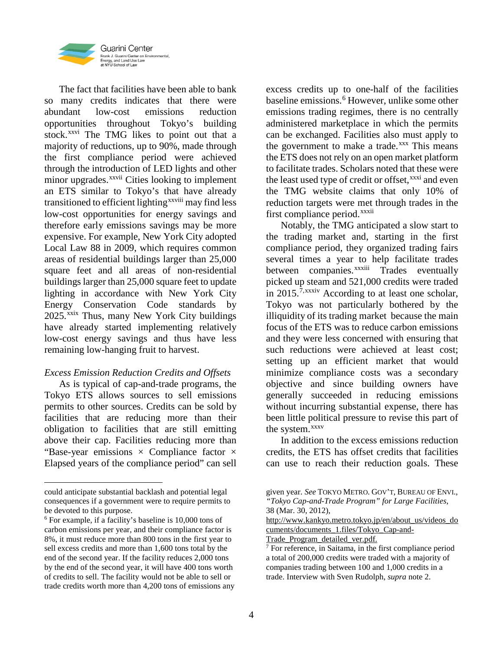

The fact that facilities have been able to bank so many credits indicates that there were abundant low-cost emissions reduction opportunities throughout Tokyo's building stock.<sup>[xxvi](#page-5-4)</sup> The TMG likes to point out that a minor upgrades.<sup>xxvii</sup> Cities looking to implement transitioned to efficient lighting<sup>xxviii</sup> may find less majority of reductions, up to 90%, made through the first compliance period were achieved through the introdu[ct](#page-5-5)ion of LED lights and other an ETS similar to Tokyo's that [h](#page-5-6)ave already low-cost opportunities for energy savings and therefore early emissions savings may be more expensive. For example, New York City adopted Local Law 88 in 2009, which requires common areas of residential buildings larger than 25,000 square feet and all areas of non-residential buildings larger than 25,000 square feet to update lighting in accordance with New York City Energy Conservation Code standards by 2025.<sup>[xxix](#page-5-7)</sup> Thus, many New York City buildings have already started implementing relatively low-cost energy savings and thus have less remaining low-hanging fruit to harvest.

### *Excess Emission Reduction Credits and Offsets*

As is typical of cap-and-trade programs, the Tokyo ETS allows sources to sell emissions permits to other sources. Credits can be sold by facilities that are reducing more than their obligation to facilities that are still emitting above their cap. Facilities reducing more than "Base-year emissions  $\times$  Compliance factor  $\times$ Elapsed years of the compliance period" can sell

 $\overline{a}$ 

excess credits up to one-half of the facilities baseline emissions. [6](#page-3-0) However, unlike some other first compliance period.<sup>xxxii</sup> emissions trading regimes, there is no centrally administered marketplace in which the permits can be exchanged. Facilities also must apply to the government to make a trade.<sup>[xxx](#page-5-8)</sup> This means the ETS does not rely on an open market platform to facilitate trades. Scholars noted that these were the least used type of credit or offset,<sup>[xxxi](#page-5-9)</sup> and even the TMG website claims that only 10% of reduction targets were met [t](#page-5-10)hrough trades in the

Notably, the TMG anticipated a slow start to the trading market and, starting in the first compliance period, they organized trading fairs several times a year to help facilitate trades between companies.<sup>xxxiii</sup> Trades eventually in 2015.<sup>7, xxxi[v](#page-5-12)</sup> According to at least one scholar, picked up steam and 521,000 credits were traded Tokyo was not particularly bothered by the illiquidity of its trading market because the main focus of the ETS was to reduce carbon emissions and they were less concerned with ensuring that such reductions were achieved at least cost; setting up an efficient market that would minimize compliance costs was a secondary objective and since building owners have generally succeeded in reducing emissions without incurring substantial expense, there has been little political pressure to revise this part of the system.<sup>[xxxv](#page-5-13)</sup>

In addition to the excess emissions reduction credits, the ETS has offset credits that facilities can use to reach their reduction goals. These

[Trade\\_Program\\_detailed\\_ver.pdf.](http://www.kankyo.metro.tokyo.jp/en/about_us/videos_documents/documents_1.files/Tokyo_Cap-and-Trade_Program_detailed_ver.pdf)

could anticipate substantial backlash and potential legal consequences if a government were to require permits to be devoted to this purpose.

<span id="page-3-1"></span><span id="page-3-0"></span><sup>6</sup> For example, if a facility's baseline is 10,000 tons of carbon emissions per year, and their compliance factor is 8%, it must reduce more than 800 tons in the first year to sell excess credits and more than 1,600 tons total by the end of the second year. If the facility reduces 2,000 tons by the end of the second year, it will have 400 tons worth of credits to sell. The facility would not be able to sell or trade credits worth more than 4,200 tons of emissions any

given year. *See* TOKYO METRO. GOV'T, BUREAU OF ENVI., *"Tokyo Cap-and-Trade Program" for Large Facilities*, 38 (Mar. 30, 2012),

[http://www.kankyo.metro.tokyo.jp/en/about\\_us/videos\\_do](http://www.kankyo.metro.tokyo.jp/en/about_us/videos_documents/documents_1.files/Tokyo_Cap-and-Trade_Program_detailed_ver.pdf) [cuments/documents\\_1.files/Tokyo\\_Cap-and-](http://www.kankyo.metro.tokyo.jp/en/about_us/videos_documents/documents_1.files/Tokyo_Cap-and-Trade_Program_detailed_ver.pdf)

 $7$  For reference, in Saitama, in the first compliance period a total of 200,000 credits were traded with a majority of companies trading between 100 and 1,000 credits in a trade. Interview with Sven Rudolph, *supra* note 2.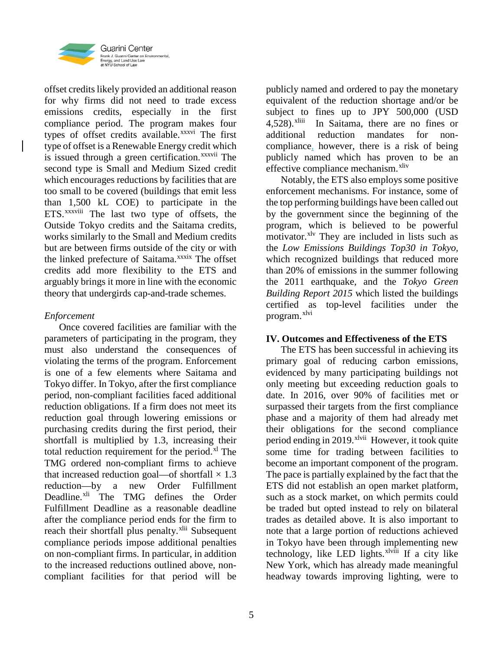

<span id="page-4-3"></span><span id="page-4-2"></span><span id="page-4-1"></span><span id="page-4-0"></span>offset credits likely provided an additional reason for why firms did not need to trade excess emissions credits, especially in the first compliance period. The program [ma](#page-5-14)kes four types of offset credits available.<sup>xxxvi</sup> The first is issued through a green certification. XXXVii The ETS.<sup>xxxviii</sup> The last two type of offsets, the the linked prefecture of Saitama. XXXiX The offset type of offset is a Renewable Energy credit [wh](#page-5-15)ich second type is Small and Medium Sized credit which encourages reductions by facilities that are too small to be covered (buildings that emit less than 1,5[00](#page-5-16) kL COE) to participate in the Outside Tokyo credits and the Saitama credits, works similarly to the Small and Medium credits but are between firms outside of the [c](#page-5-17)ity or with credits add more flexibility to the ETS and arguably brings it more in line with the economic theory that undergirds cap-and-trade schemes.

# <span id="page-4-8"></span><span id="page-4-7"></span><span id="page-4-6"></span><span id="page-4-5"></span><span id="page-4-4"></span>*Enforcement*

<span id="page-4-20"></span><span id="page-4-19"></span><span id="page-4-18"></span><span id="page-4-17"></span><span id="page-4-16"></span><span id="page-4-15"></span><span id="page-4-14"></span><span id="page-4-13"></span><span id="page-4-12"></span><span id="page-4-11"></span><span id="page-4-10"></span><span id="page-4-9"></span>Once covered facilities are familiar with the parameters of participating in the program, they must also understand the consequences of violating the terms of the program. Enforcement is one of a few elements where Saitama and Tokyo differ. In Tokyo, after the first compliance period, non-compliant facilities faced additional reduction obligations. If a firm does not meet its reduction goal through lowering emissions or purchasing credits during the first period, their shortfall is multiplied by 1.3, increasing their total reduction requirement for the period.<sup>[xl](#page-5-18)</sup> The TMG ordered non-compliant firms to achieve that increased reduction goal—of shortfall  $\times$  1.3 reduction—by a new Order Fulfillment Deadline.<sup>[xli](#page-5-19)</sup> The TMG defines the Order Fulfillment Deadline as a reasonable deadline after the compliance period ends for the firm to reach their shortfall plus penalty.<sup>[xlii](#page-5-20)</sup> Subsequent compliance periods impose additional penalties on non-compliant firms. In particular, in addition to the increased reductions outlined above, noncompliant facilities for that period will be

 $4,528$ .  $x$ liii publicly named and ordered to pay the monetary equivalent of the reduction shortage and/or be subject t[o](#page-5-21) fines up to JPY 500,000 (USD In Saitama, there are no fines or additional reduction mandates for noncompliance, however, there is a risk of being publicly named which has proven to be an effective compliance mechanism.<sup>[xliv](#page-6-0)</sup>

Notably, the ETS also employs some positive enforcement mechanisms. For instance, some of the top performing buildings have been called out by the government since the beginning of the program, which is believed to be powerful motivator.<sup>[xlv](#page-6-1)</sup> They are included in lists such as the *Low Emissions Buildings Top30 in Tokyo,*  which recognized buildings that reduced more than 20% of emissions in the summer following the 2011 earthquake, and the *Tokyo Green Building Report 2015* which listed the buildings certified as top-level facilities under the program.<sup>[xlvi](#page-7-0)</sup>

# **IV. Outcomes and Effectiveness of the ETS**

The ETS has been successful in achieving its primary goal of reducing carbon emissions, evidenced by many participating buildings not only meeting but exceeding reduction goals to date. In 2016, over 90% of facilities met or surpassed their targets from the first compliance phase and a majority of them had already met their obligations for t[he](#page-7-1) second compliance period ending in 2019.<sup>xlvii</sup> However, it took quite technology, like LED lights. Xlviii If a city like some time for trading between facilities to become an important component of the program. The pace is partially explained by the fact that the ETS did not establish an open market platform, such as a stock market, on which permits could be traded but opted instead to rely on bilateral trades as detailed above. It is also important to note that a large portion of reductions achieved in Tokyo have been through imp[l](#page-7-2)ementing new New York, which has already made meaningful headway towards improving lighting, were to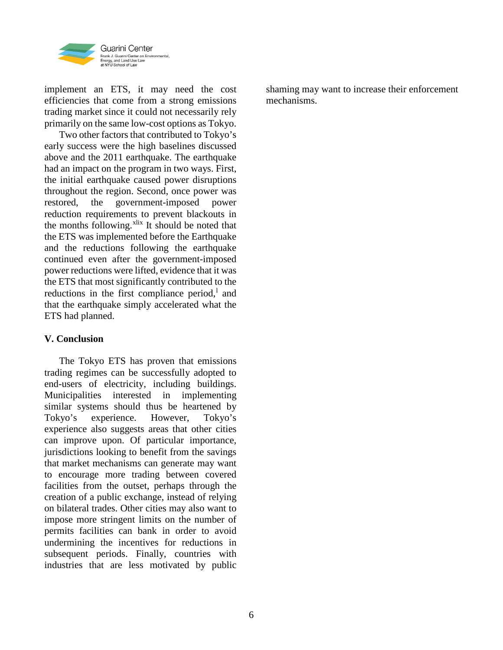

<span id="page-5-0"></span>implement an ETS, it may need the cost efficiencies that come from a strong emissions trading market since it could not necessarily rely primarily on the same low-cost options as Tokyo.

<span id="page-5-5"></span><span id="page-5-4"></span><span id="page-5-3"></span><span id="page-5-2"></span><span id="page-5-1"></span>Two other factors that contributed to Tokyo's early success were the high baselines discussed above and the 2011 earthquake. The earthquake had an impact on the program in two ways. First, the initial earthquake caused power disruptions throughout the region. Second, once power was restored, the government-imposed power reduction requirements to prevent blackouts in the months following.<sup>[xlix](#page-7-3)</sup> It should be noted that the ETS was implemented before the Earthquake and the reductions following the earthquake continued even after the government-imposed power reductions were lifted, evidence that it was the ETS that most significantly contributed to the reductions in the first comp[l](#page-7-4)iance period,<sup>1</sup> and that the earthquake simply accelerated what the ETS had planned.

#### <span id="page-5-9"></span><span id="page-5-8"></span><span id="page-5-7"></span><span id="page-5-6"></span>**V. Conclusion**

<span id="page-5-21"></span><span id="page-5-20"></span><span id="page-5-19"></span><span id="page-5-18"></span><span id="page-5-17"></span><span id="page-5-16"></span><span id="page-5-15"></span><span id="page-5-14"></span><span id="page-5-13"></span><span id="page-5-12"></span><span id="page-5-11"></span><span id="page-5-10"></span>The Tokyo ETS has proven that emissions trading regimes can be successfully adopted to end-users of electricity, including buildings. Municipalities interested in implementing similar systems should thus be heartened by Tokyo's experience. However, Tokyo's experience also suggests areas that other cities can improve upon. Of particular importance, jurisdictions looking to benefit from the savings that market mechanisms can generate may want to encourage more trading between covered facilities from the outset, perhaps through the creation of a public exchange, instead of relying on bilateral trades. Other cities may also want to impose more stringent limits on the number of permits facilities can bank in order to avoid undermining the incentives for reductions in subsequent periods. Finally, countries with industries that are less motivated by public

shaming may want to increase their enforcement mechanisms.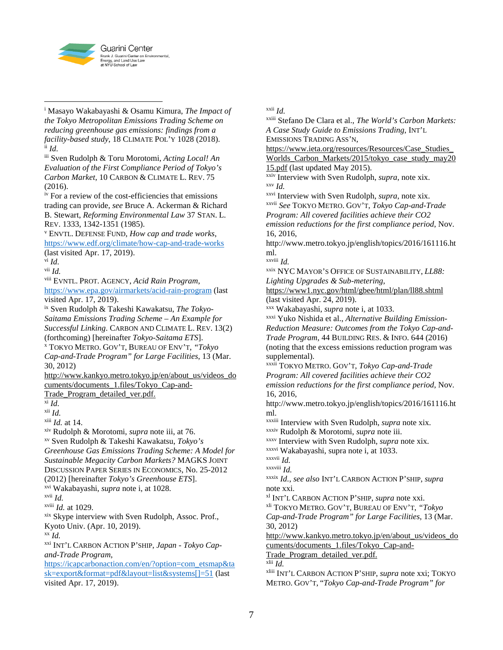

<span id="page-6-0"></span><sup>i</sup> Masayo Wakabayashi & Osamu Kimura, *The Impact of the Tokyo Metropolitan Emissions Trading Scheme on reducing greenhouse gas emissions: findings from a facility-based study*, 18 CLIMATE POL'Y 1028 (2018). ii *Id.*

<span id="page-6-1"></span>iii Sven Rudolph & Toru Morotomi, *Acting Local! An Evaluation of the First Compliance Period of Tokyo's Carbon Market*, 10 CARBON & CLIMATE L. REV. 75 (2016).

iv For a review of the cost-efficiencies that emissions trading can provide, *see* Bruce A. Ackerman & Richard B. Stewart, *Reforming Environmental Law* 37 STAN. L. REV. 1333, 1342-1351 (1985).

<sup>v</sup> ENVTL. DEFENSE FUND, *How cap and trade works*, <https://www.edf.org/climate/how-cap-and-trade-works> (last visited Apr. 17, 2019).

vi *Id.* 

vii *Id.*

 $\overline{a}$ 

viii EVNTL. PROT. AGENCY, *Acid Rain Program*,

<https://www.epa.gov/airmarkets/acid-rain-program> (last visited Apr. 17, 2019).

ix Sven Rudolph & Takeshi Kawakatsu, *The Tokyo-Saitama Emissions Trading Scheme – An Example for Successful Linking*. CARBON AND CLIMATE L. REV. 13(2) (forthcoming) [hereinafter *Tokyo-Saitama ETS*].

<sup>x</sup> TOKYO METRO. GOV'T, BUREAU OF ENV'T, *"Tokyo Cap-and-Trade Program" for Large Facilities*, 13 (Mar. 30, 2012)

[http://www.kankyo.metro.tokyo.jp/en/about\\_us/videos\\_do](http://www.kankyo.metro.tokyo.jp/en/about_us/videos_documents/documents_1.files/Tokyo_Cap-and-Trade_Program_detailed_ver.pdf) [cuments/documents\\_1.files/Tokyo\\_Cap-and-](http://www.kankyo.metro.tokyo.jp/en/about_us/videos_documents/documents_1.files/Tokyo_Cap-and-Trade_Program_detailed_ver.pdf)

[Trade\\_Program\\_detailed\\_ver.pdf.](http://www.kankyo.metro.tokyo.jp/en/about_us/videos_documents/documents_1.files/Tokyo_Cap-and-Trade_Program_detailed_ver.pdf)

xi *Id.* 

xii *Id.*

xiii *Id.* at 14.

xiv Rudolph & Morotomi, *supra* note iii, at 76. xv Sven Rudolph & Takeshi Kawakatsu, *Tokyo's* 

*Greenhouse Gas Emissions Trading Scheme: A Model for Sustainable Megacity Carbon Markets?* MAGKS JOINT

DISCUSSION PAPER SERIES IN ECONOMICS, No. 25-2012

(2012) [hereinafter *Tokyo's Greenhouse ETS*].

xvi Wakabayashi, *supra* note i, at 1028.

xvii *Id.* 

xviii *Id.* at 1029.

xix Skype interview with Sven Rudolph, Assoc. Prof., Kyoto Univ. (Apr. 10, 2019).

xx *Id.*

xxi INT'L CARBON ACTION P'SHIP, *Japan - Tokyo Capand-Trade Program*,

[https://icapcarbonaction.com/en/?option=com\\_etsmap&ta](https://icapcarbonaction.com/en/?option=com_etsmap&task=export&format=pdf&layout=list&systems%5b%5d=51) [sk=export&format=pdf&layout=list&systems\[\]=51](https://icapcarbonaction.com/en/?option=com_etsmap&task=export&format=pdf&layout=list&systems%5b%5d=51) (last visited Apr. 17, 2019).

xxii *Id.*

xxiii Stefano De Clara et al., *The World's Carbon Markets: A Case Study Guide to Emissions Trading*, INT'L

EMISSIONS TRADING ASS'N,

[https://www.ieta.org/resources/Resources/Case\\_Studies\\_](https://www.ieta.org/resources/Resources/Case_Studies_Worlds_Carbon_Markets/2015/tokyo_case_study_may2015.pdf) Worlds Carbon Markets/2015/tokyo case\_study\_may20 [15.pdf](https://www.ieta.org/resources/Resources/Case_Studies_Worlds_Carbon_Markets/2015/tokyo_case_study_may2015.pdf) (last updated May 2015).

xxiv Interview with Sven Rudolph, *supra*, note xix.

xxv *Id.*

xxvi Interview with Sven Rudolph, *supra*, note xix. xxvii *See* TOKYO METRO. GOV'T, *Tokyo Cap-and-Trade Program: All covered facilities achieve their CO2 emission reductions for the first compliance period*, Nov. 16, 2016,

http://www.metro.tokyo.jp/english/topics/2016/161116.ht ml.

xxviii *Id.*

xxix NYC MAYOR'S OFFICE OF SUSTAINABILITY, *LL88: Lighting Upgrades & Sub-metering*,

<https://www1.nyc.gov/html/gbee/html/plan/ll88.shtml> (last visited Apr. 24, 2019).

xxx Wakabayashi, *supra* note i, at 1033.

xxxi Yuko Nishida et al., *Alternative Building Emission-Reduction Measure: Outcomes from the Tokyo Cap-and-Trade Program*, 44 BUILDING RES. & INFO. 644 (2016) (noting that the excess emissions reduction program was supplemental).

xxxii TOKYO METRO. GOV'T, *Tokyo Cap-and-Trade Program: All covered facilities achieve their CO2 emission reductions for the first compliance period*, Nov. 16, 2016,

http://www.metro.tokyo.jp/english/topics/2016/161116.ht ml.

xxxiii Interview with Sven Rudolph, *supra* note xix. xxxiv Rudolph & Morotomi, *supra* note iii.

xxxv Interview with Sven Rudolph, *supra* note xix.

xxxvi Wakabayashi, supra note i, at 1033.

xxxviii *Id.*

xxxix *Id.*, *see also* INT'L CARBON ACTION P'SHIP, *supra*  note xxi.

xl INT'L CARBON ACTION P'SHIP, *supra* note xxi.

xli TOKYO METRO. GOV'T, BUREAU OF ENV'T, *"Tokyo Cap-and-Trade Program" for Large Facilities*, 13 (Mar. 30, 2012)

[http://www.kankyo.metro.tokyo.jp/en/about\\_us/videos\\_do](http://www.kankyo.metro.tokyo.jp/en/about_us/videos_documents/documents_1.files/Tokyo_Cap-and-Trade_Program_detailed_ver.pdf) [cuments/documents\\_1.files/Tokyo\\_Cap-and-](http://www.kankyo.metro.tokyo.jp/en/about_us/videos_documents/documents_1.files/Tokyo_Cap-and-Trade_Program_detailed_ver.pdf)

[Trade\\_Program\\_detailed\\_ver.pdf.](http://www.kankyo.metro.tokyo.jp/en/about_us/videos_documents/documents_1.files/Tokyo_Cap-and-Trade_Program_detailed_ver.pdf)

xlii *Id.*

xliii INT'L CARBON ACTION P'SHIP, *supra* note xxi; TOKYO METRO. GOV'T, "*Tokyo Cap-and-Trade Program" for* 

xxxvii *Id.*